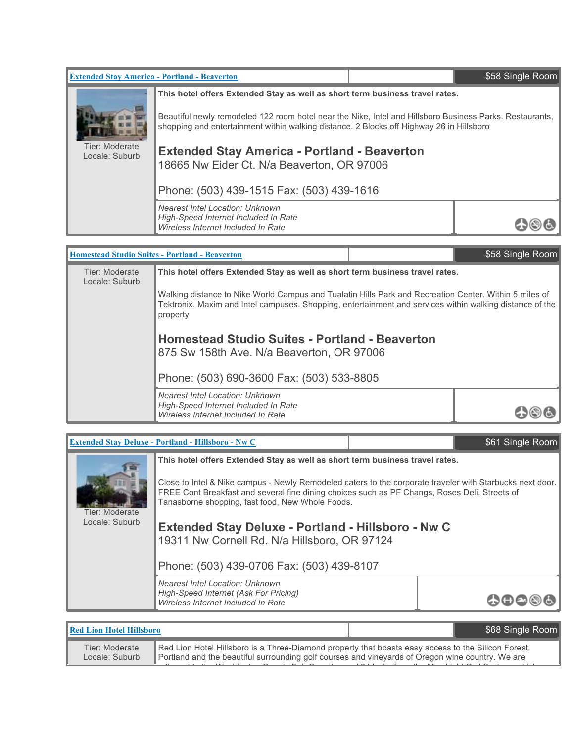| <b>Extended Stay America - Portland - Beaverton</b>                                                                                   |                                                                                                                                                                                                      |  | \$58 Single Room |
|---------------------------------------------------------------------------------------------------------------------------------------|------------------------------------------------------------------------------------------------------------------------------------------------------------------------------------------------------|--|------------------|
|                                                                                                                                       | This hotel offers Extended Stay as well as short term business travel rates.                                                                                                                         |  |                  |
|                                                                                                                                       | Beautiful newly remodeled 122 room hotel near the Nike, Intel and Hillsboro Business Parks. Restaurants,<br>shopping and entertainment within walking distance. 2 Blocks off Highway 26 in Hillsboro |  |                  |
| Tier: Moderate<br><b>Extended Stay America - Portland - Beaverton</b><br>Locale: Suburb<br>18665 Nw Eider Ct. N/a Beaverton, OR 97006 |                                                                                                                                                                                                      |  |                  |
| Phone: (503) 439-1515 Fax: (503) 439-1616                                                                                             |                                                                                                                                                                                                      |  |                  |
|                                                                                                                                       | <b>Nearest Intel Location: Unknown</b><br>High-Speed Internet Included In Rate<br>Wireless Internet Included In Rate                                                                                 |  |                  |

|                                                                                                                                                                                                                                | <b>Homestead Studio Suites - Portland - Beaverton</b>                                                                                           | \$58 Single Room |
|--------------------------------------------------------------------------------------------------------------------------------------------------------------------------------------------------------------------------------|-------------------------------------------------------------------------------------------------------------------------------------------------|------------------|
| Tier: Moderate<br>Locale: Suburb                                                                                                                                                                                               | This hotel offers Extended Stay as well as short term business travel rates.                                                                    |                  |
| Walking distance to Nike World Campus and Tualatin Hills Park and Recreation Center. Within 5 miles of<br>Tektronix, Maxim and Intel campuses. Shopping, entertainment and services within walking distance of the<br>property |                                                                                                                                                 |                  |
|                                                                                                                                                                                                                                | <b>Homestead Studio Suites - Portland - Beaverton</b><br>875 Sw 158th Ave. N/a Beaverton, OR 97006<br>Phone: (503) 690-3600 Fax: (503) 533-8805 |                  |
|                                                                                                                                                                                                                                |                                                                                                                                                 |                  |
|                                                                                                                                                                                                                                | <b>Nearest Intel Location: Unknown</b><br>High-Speed Internet Included In Rate<br>Wireless Internet Included In Rate                            |                  |
|                                                                                                                                                                                                                                |                                                                                                                                                 |                  |

г

|                                  | <b>Extended Stay Deluxe - Portland - Hillsboro - Nw C</b>                                                                                                                                                                                                                                                                                                                                                                                                   |  | \$61 Single Room |
|----------------------------------|-------------------------------------------------------------------------------------------------------------------------------------------------------------------------------------------------------------------------------------------------------------------------------------------------------------------------------------------------------------------------------------------------------------------------------------------------------------|--|------------------|
| Tier: Moderate<br>Locale: Suburb | This hotel offers Extended Stay as well as short term business travel rates.<br>Close to Intel & Nike campus - Newly Remodeled caters to the corporate traveler with Starbucks next door.<br>FREE Cont Breakfast and several fine dining choices such as PF Changs, Roses Deli. Streets of<br>Tanasborne shopping, fast food, New Whole Foods.<br><b>Extended Stay Deluxe - Portland - Hillsboro - Nw C</b><br>19311 Nw Cornell Rd. N/a Hillsboro, OR 97124 |  |                  |
|                                  | Phone: (503) 439-0706 Fax: (503) 439-8107                                                                                                                                                                                                                                                                                                                                                                                                                   |  |                  |
|                                  | <b>Nearest Intel Location: Unknown</b><br>High-Speed Internet (Ask For Pricing)<br>Wireless Internet Included In Rate                                                                                                                                                                                                                                                                                                                                       |  |                  |

| Red Lion Hotel Hillsboro         |                                                                                                                                                                                                         | \$68 Single Room |
|----------------------------------|---------------------------------------------------------------------------------------------------------------------------------------------------------------------------------------------------------|------------------|
| Tier: Moderate<br>Locale: Suburb | Red Lion Hotel Hillsboro is a Three-Diamond property that boasts easy access to the Silicon Forest,<br>Portland and the beautiful surrounding golf courses and vineyards of Oregon wine country. We are |                  |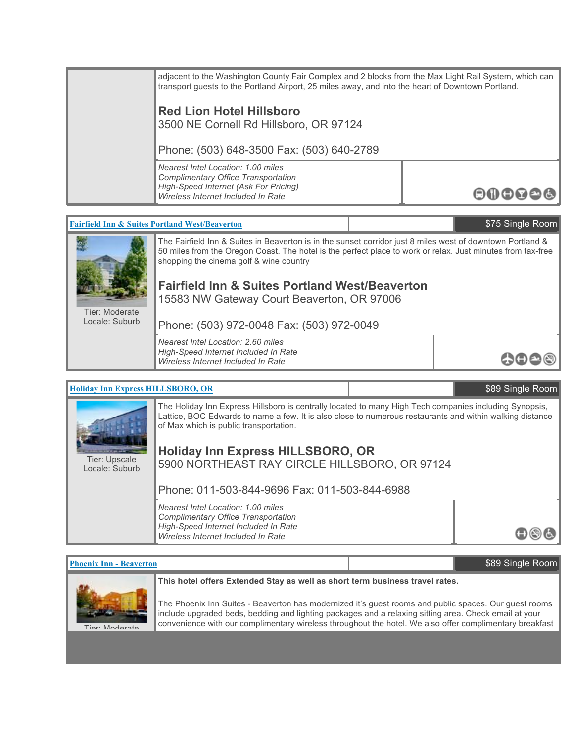| adjacent to the Washington County Fair Complex and 2 blocks from the Max Light Rail System, which can<br>transport guests to the Portland Airport, 25 miles away, and into the heart of Downtown Portland. |       |
|------------------------------------------------------------------------------------------------------------------------------------------------------------------------------------------------------------|-------|
| <b>Red Lion Hotel Hillsboro</b><br>3500 NE Cornell Rd Hillsboro, OR 97124<br>Phone: (503) 648-3500 Fax: (503) 640-2789                                                                                     |       |
| Nearest Intel Location: 1.00 miles<br>Complimentary Office Transportation<br>High-Speed Internet (Ask For Pricing)<br>Wireless Internet Included In Rate                                                   | ooooo |

# **Fairfield Inn & Suites Portland West/Beaverton** \$75 Single Room



Tier: Moderate Locale: Suburb

The Fairfield Inn & Suites in Beaverton is in the sunset corridor just 8 miles west of downtown Portland & 50 miles from the Oregon Coast. The hotel is the perfect place to work or relax. Just minutes from tax-free shopping the cinema golf & wine country

いのの

# **Fairfield Inn & Suites Portland West/Beaverton** 15583 NW Gateway Court Beaverton, OR 97006

Phone: (503) 972-0048 Fax: (503) 972-0049

*Nearest Intel Location: 2.60 miles High-Speed Internet Included In Rate Wireless Internet Included In Rate*



### **Phoenix Inn - Beaverton** \$89 Single Room



#### **This hotel offers Extended Stay as well as short term business travel rates.**

The Phoenix Inn Suites - Beaverton has modernized it's guest rooms and public spaces. Our guest rooms include upgraded beds, bedding and lighting packages and a relaxing sitting area. Check email at your convenience with our complimentary wireless throughout the hotel. We also offer complimentary breakfast

served everyday from 6:30am - 10am and complimentary shuttle service to all Intel campuses. For those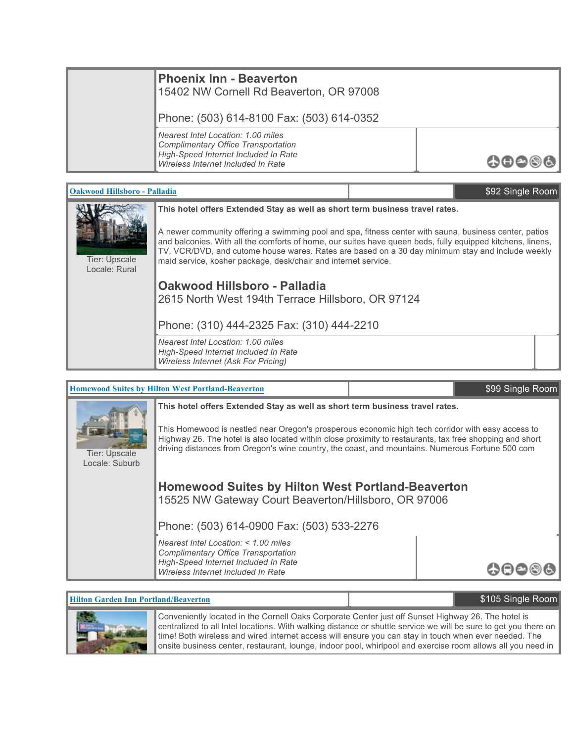| <b>Phoenix Inn - Beaverton</b><br>15402 NW Cornell Rd Beaverton, OR 97008                                                                               |                                |
|---------------------------------------------------------------------------------------------------------------------------------------------------------|--------------------------------|
| Phone: (503) 614-8100 Fax: (503) 614-0352                                                                                                               |                                |
| Nearest Intel Location: 1.00 miles<br>Complimentary Office Transportation<br>High-Speed Internet Included In Rate<br>Wireless Internet Included In Rate | $\bullet\bullet\bullet\bullet$ |

| <b>Oakwood Hillsboro - Palladia</b>                                                                                                                                                                                                                                                                  |                                                                                                                                                                    | \$92 Single Room |  |
|------------------------------------------------------------------------------------------------------------------------------------------------------------------------------------------------------------------------------------------------------------------------------------------------------|--------------------------------------------------------------------------------------------------------------------------------------------------------------------|------------------|--|
| This hotel offers Extended Stay as well as short term business travel rates.<br>A newer community offering a swimming pool and spa, fitness center with sauna, business center, patios<br>and balconies. With all the comforts of home, our suites have queen beds, fully equipped kitchens, linens, |                                                                                                                                                                    |                  |  |
| Tier: Upscale<br>Locale: Rural                                                                                                                                                                                                                                                                       | TV, VCR/DVD, and cutome house wares. Rates are based on a 30 day minimum stay and include weekly<br>maid service, kosher package, desk/chair and internet service. |                  |  |
|                                                                                                                                                                                                                                                                                                      | Oakwood Hillsboro - Palladia<br>2615 North West 194th Terrace Hillsboro, OR 97124                                                                                  |                  |  |
| Phone: (310) 444-2325 Fax: (310) 444-2210                                                                                                                                                                                                                                                            |                                                                                                                                                                    |                  |  |
|                                                                                                                                                                                                                                                                                                      | Nearest Intel Location: 1.00 miles<br>High-Speed Internet Included In Rate<br>Wireless Internet (Ask For Pricing)                                                  |                  |  |

|                                                                                                                                                                                                                                                                                                                                                      | <b>Homewood Suites by Hilton West Portland-Beaverton</b>                                                         | \$99 Single Room |
|------------------------------------------------------------------------------------------------------------------------------------------------------------------------------------------------------------------------------------------------------------------------------------------------------------------------------------------------------|------------------------------------------------------------------------------------------------------------------|------------------|
|                                                                                                                                                                                                                                                                                                                                                      | This hotel offers Extended Stay as well as short term business travel rates.                                     |                  |
| This Homewood is nestled near Oregon's prosperous economic high tech corridor with easy access to<br>Highway 26. The hotel is also located within close proximity to restaurants, tax free shopping and short<br>driving distances from Oregon's wine country, the coast, and mountains. Numerous Fortune 500 com<br>Tier: Upscale<br>Locale: Suburb |                                                                                                                  |                  |
|                                                                                                                                                                                                                                                                                                                                                      | <b>Homewood Suites by Hilton West Portland-Beaverton</b><br>15525 NW Gateway Court Beaverton/Hillsboro, OR 97006 |                  |
|                                                                                                                                                                                                                                                                                                                                                      | Phone: (503) 614-0900 Fax: (503) 533-2276                                                                        |                  |
|                                                                                                                                                                                                                                                                                                                                                      | Nearest Intel Location: $<$ 1.00 miles<br>Complimentary Office Transportation                                    |                  |
|                                                                                                                                                                                                                                                                                                                                                      | High-Speed Internet Included In Rate<br>Wireless Internet Included In Rate                                       |                  |

# **Hilton Garden Inn Portland/Beaverton 1988 105 Single Room** \$105 Single Room



Conveniently located in the Cornell Oaks Corporate Center just off Sunset Highway 26. The hotel is centralized to all Intel locations. With walking distance or shuttle service we will be sure to get you there on time! Both wireless and wired internet access will ensure you can stay in touch when ever needed. The onsite business center, restaurant, lounge, indoor pool, whirlpool and exercise room allows all you need in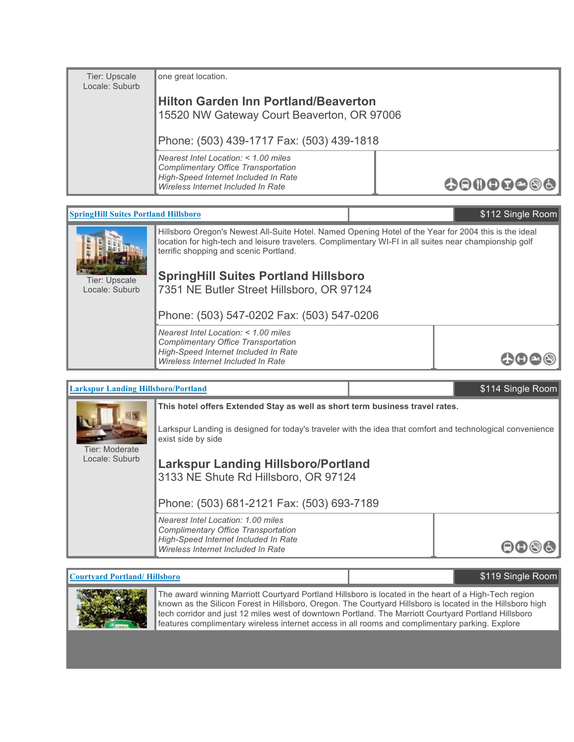| Tier: Upscale<br>Locale: Suburb | one great location.                                                                                                   |          |
|---------------------------------|-----------------------------------------------------------------------------------------------------------------------|----------|
|                                 | <b>Hilton Garden Inn Portland/Beaverton</b><br>15520 NW Gateway Court Beaverton, OR 97006                             |          |
|                                 | Phone: (503) 439-1717 Fax: (503) 439-1818                                                                             |          |
|                                 | Nearest Intel Location: $<$ 1.00 miles<br>Complimentary Office Transportation<br>High-Speed Internet Included In Rate | 00000000 |
|                                 | Wireless Internet Included In Rate                                                                                    |          |

| <b>SpringHill Suites Portland Hillsboro</b> |                                                                                                                                                                                                                                                           | \$112 Single Room |
|---------------------------------------------|-----------------------------------------------------------------------------------------------------------------------------------------------------------------------------------------------------------------------------------------------------------|-------------------|
|                                             | Hillsboro Oregon's Newest All-Suite Hotel. Named Opening Hotel of the Year for 2004 this is the ideal<br>location for high-tech and leisure travelers. Complimentary WI-FI in all suites near championship golf<br>terrific shopping and scenic Portland. |                   |
| Tier: Upscale<br>Locale: Suburb             | <b>SpringHill Suites Portland Hillsboro</b><br>7351 NE Butler Street Hillsboro, OR 97124                                                                                                                                                                  |                   |
|                                             | Phone: (503) 547-0202 Fax: (503) 547-0206                                                                                                                                                                                                                 |                   |
|                                             | Nearest Intel Location: $<$ 1.00 miles<br>Complimentary Office Transportation<br>High-Speed Internet Included In Rate<br>Wireless Internet Included In Rate                                                                                               |                   |
|                                             |                                                                                                                                                                                                                                                           |                   |

| <b>Larkspur Landing Hillsboro/Portland</b> |                                                                                                                                                         | \$114 Single Room |
|--------------------------------------------|---------------------------------------------------------------------------------------------------------------------------------------------------------|-------------------|
|                                            | This hotel offers Extended Stay as well as short term business travel rates.                                                                            |                   |
| Tier: Moderate                             | Larkspur Landing is designed for today's traveler with the idea that comfort and technological convenience<br>exist side by side                        |                   |
| Locale: Suburb                             | <b>Larkspur Landing Hillsboro/Portland</b><br>3133 NE Shute Rd Hillsboro, OR 97124                                                                      |                   |
|                                            | Phone: (503) 681-2121 Fax: (503) 693-7189                                                                                                               |                   |
|                                            | Nearest Intel Location: 1.00 miles<br>Complimentary Office Transportation<br>High-Speed Internet Included In Rate<br>Wireless Internet Included In Rate |                   |

# **Courtyard Portland/ Hillsboro Allen Courty and State Room \$119 Single Room**



The award winning Marriott Courtyard Portland Hillsboro is located in the heart of a High-Tech region known as the Silicon Forest in Hillsboro, Oregon. The Courtyard Hillsboro is located in the Hillsboro high tech corridor and just 12 miles west of downtown Portland. The Marriott Courtyard Portland Hillsboro features complimentary wireless internet access in all rooms and complimentary parking. Explore restaurants, shopping and entertainment within walking distance of the hotel.